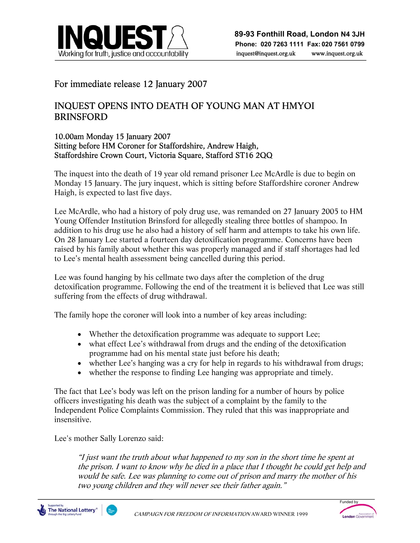

## For immediate release 12 January 2007

## INQUEST OPENS INTO DEATH OF YOUNG MAN AT HMYOI BRINSFORD

### 10.00am Monday 15 January 2007 Sitting before HM Coroner for Staffordshire, Andrew Haigh, Staffordshire Crown Court, Victoria Square, Stafford ST16 2QQ

The inquest into the death of 19 year old remand prisoner Lee McArdle is due to begin on Monday 15 January. The jury inquest, which is sitting before Staffordshire coroner Andrew Haigh, is expected to last five days.

j

Lee McArdle, who had a history of poly drug use, was remanded on 27 January 2005 to HM Young Offender Institution Brinsford for allegedly stealing three bottles of shampoo. In addition to his drug use he also had a history of self harm and attempts to take his own life. On 28 January Lee started a fourteen day detoxification programme. Concerns have been raised by his family about whether this was properly managed and if staff shortages had led to Lee's mental health assessment being cancelled during this period.

Lee was found hanging by his cellmate two days after the completion of the drug detoxification programme. Following the end of the treatment it is believed that Lee was still suffering from the effects of drug withdrawal.

The family hope the coroner will look into a number of key areas including:

- Whether the detoxification programme was adequate to support Lee;
- what effect Lee's withdrawal from drugs and the ending of the detoxification programme had on his mental state just before his death;
- whether Lee's hanging was a cry for help in regards to his withdrawal from drugs;
- whether the response to finding Lee hanging was appropriate and timely.

The fact that Lee's body was left on the prison landing for a number of hours by police officers investigating his death was the subject of a complaint by the family to the Independent Police Complaints Commission. They ruled that this was inappropriate and insensitive.

Lee's mother Sally Lorenzo said:

"I just want the truth about what happened to my son in the short time he spent at the prison. I want to know why he died in a place that I thought he could get help and would be safe. Lee was planning to come out of prison and marry the mother of his two young children and they will never see their father again."